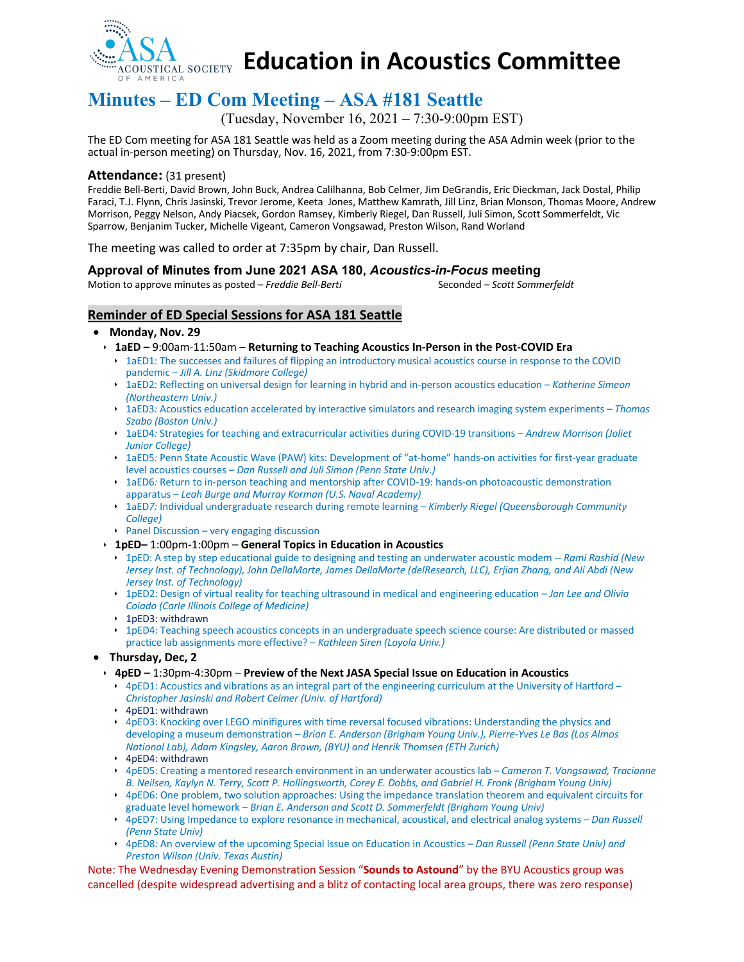

**Education in Acoustics Committee**

# **Minutes – ED Com Meeting – ASA #181 Seattle**

(Tuesday, November 16, 2021 – 7:30-9:00pm EST)

The ED Com meeting for ASA 181 Seattle was held as a Zoom meeting during the ASA Admin week (prior to the actual in-person meeting) on Thursday, Nov. 16, 2021, from 7:30-9:00pm EST.

#### **Attendance:** (31 present)

Freddie Bell-Berti, David Brown, John Buck, Andrea Calilhanna, Bob Celmer, Jim DeGrandis, Eric Dieckman, Jack Dostal, Philip Faraci, T.J. Flynn, Chris Jasinski, Trevor Jerome, Keeta Jones, Matthew Kamrath, Jill Linz, Brian Monson, Thomas Moore, Andrew Morrison, Peggy Nelson, Andy Piacsek, Gordon Ramsey, Kimberly Riegel, Dan Russell, Juli Simon, Scott Sommerfeldt, Vic Sparrow, Benjanim Tucker, Michelle Vigeant, Cameron Vongsawad, Preston Wilson, Rand Worland

The meeting was called to order at 7:35pm by chair, Dan Russell.

#### **Approval of Minutes from June 2021 ASA 180,** *Acoustics-in-Focus* **meeting**

Motion to approve minutes as posted – *Freddie Bell-Berti* Seconded – *Scott Sommerfeldt* 

### **Reminder of ED Special Sessions for ASA 181 Seattle**

#### • **Monday, Nov. 29**

- ê **1aED –** 9:00am-11:50am **Returning to Teaching Acoustics In-Person in the Post-COVID Era**
	- ▶ 1aED1: The successes and failures of flipping an introductory musical acoustics course in response to the COVID pandemic – *Jill A. Linz (Skidmore College)*
	- ê 1aED2: Reflecting on universal design for learning in hybrid and in-person acoustics education *– Katherine Simeon (Northeastern Univ.)*
	- ê 1aED3*:* Acoustics education accelerated by interactive simulators and research imaging system experiments *– Thomas Szabo (Boston Univ.)*
	- ê 1aED4*:* Strategies for teaching and extracurricular activities during COVID-19 transitions *– Andrew Morrison (Joliet Junior College)*
	- ê 1aED5*:* Penn State Acoustic Wave (PAW) kits: Development of "at-home" hands-on activities for first-year graduate level acoustics courses *– Dan Russell and Juli Simon (Penn State Univ.)*
	- ê 1aED6*:* Return to in-person teaching and mentorship after COVID-19: hands-on photoacoustic demonstration apparatus – *Leah Burge and Murray Korman (U.S. Naval Academy)*
	- ê 1aED*7:* Individual undergraduate research during remote learning *Kimberly Riegel (Queensborough Community College)*
	- $\rightarrow$  Panel Discussion very engaging discussion
- ê **1pED–** 1:00pm-1:00pm **General Topics in Education in Acoustics**
	- ê 1pED: A step by step educational guide to designing and testing an underwater acoustic modem -- *Rami Rashid (New Jersey Inst. of Technology), John DellaMorte, James DellaMorte (delResearch, LLC), Erjian Zhang, and Ali Abdi (New Jersey Inst. of Technology)*
	- ê 1pED2: Design of virtual reality for teaching ultrasound in medical and engineering education *Jan Lee and Olivia Coiado (Carle Illinois College of Medicine)*
	- ▶ 1pED3: withdrawn
	- ê 1pED4: Teaching speech acoustics concepts in an undergraduate speech science course: Are distributed or massed practice lab assignments more effective? – *Kathleen Siren (Loyola Univ.)*
- **Thursday, Dec, 2**
	- ê **4pED –** 1:30pm-4:30pm **Preview of the Next JASA Special Issue on Education in Acoustics**
		- $\rightarrow$  4pED1: Acoustics and vibrations as an integral part of the engineering curriculum at the University of Hartford *Christopher Jasinski and Robert Celmer (Univ. of Hartford)*
		- $\rightarrow$  4pED1: withdrawn
		- ê 4pED3: Knocking over LEGO minifigures with time reversal focused vibrations: Understanding the physics and developing a museum demonstration – *Brian E. Anderson (Brigham Young Univ.), Pierre-Yves Le Bas (Los Almos National Lab), Adam Kingsley, Aaron Brown, (BYU) and Henrik Thomsen (ETH Zurich)*
		- ê 4pED4: withdrawn
		- ê 4pED5: Creating a mentored research environment in an underwater acoustics lab *Cameron T. Vongsawad, Tracianne B. Neilsen, Kaylyn N. Terry, Scott P. Hollingsworth, Corey E. Dobbs, and Gabriel H. Fronk (Brigham Young Univ)*
		- ▶ 4pED6: One problem, two solution approaches: Using the impedance translation theorem and equivalent circuits for graduate level homework – *Brian E. Anderson and Scott D. Sommerfeldt (Brigham Young Univ)*
		- ê 4pED7: Using Impedance to explore resonance in mechanical, acoustical, and electrical analog systems *– Dan Russell (Penn State Univ)*
		- ê 4pED8*:* An overview of the upcoming Special Issue on Education in Acoustics *– Dan Russell (Penn State Univ) and Preston Wilson (Univ. Texas Austin)*

Note: The Wednesday Evening Demonstration Session "**Sounds to Astound**" by the BYU Acoustics group was cancelled (despite widespread advertising and a blitz of contacting local area groups, there was zero response)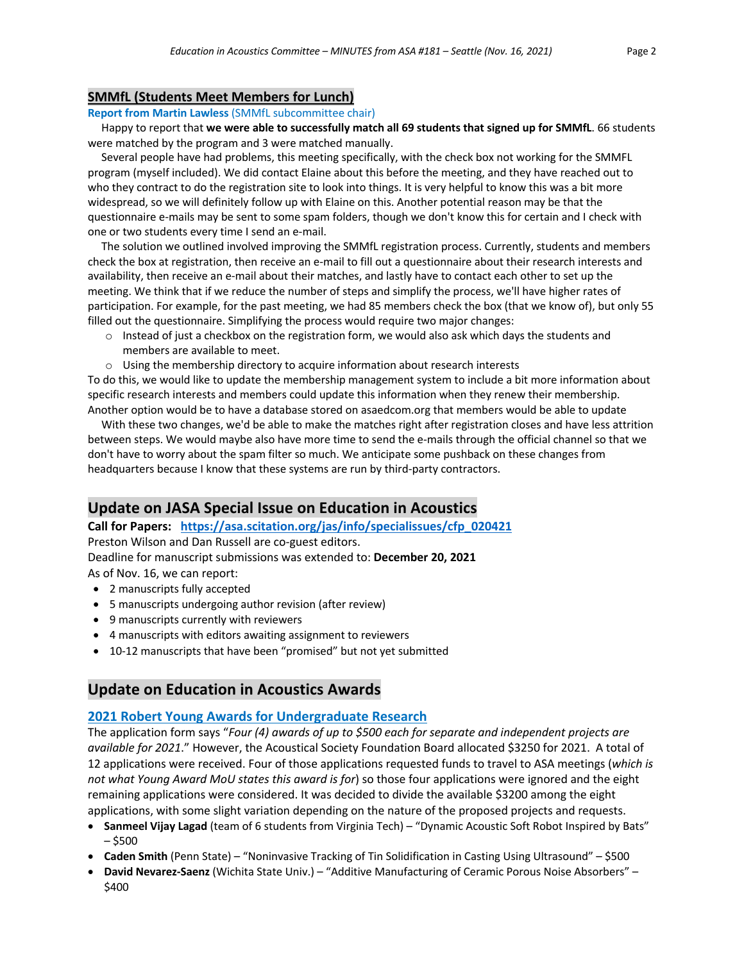#### **SMMfL (Students Meet Members for Lunch)**

#### **Report from Martin Lawless** (SMMfL subcommittee chair)

 Happy to report that **we were able to successfully match all 69 students that signed up for SMMfL**. 66 students were matched by the program and 3 were matched manually.

 Several people have had problems, this meeting specifically, with the check box not working for the SMMFL program (myself included). We did contact Elaine about this before the meeting, and they have reached out to who they contract to do the registration site to look into things. It is very helpful to know this was a bit more widespread, so we will definitely follow up with Elaine on this. Another potential reason may be that the questionnaire e-mails may be sent to some spam folders, though we don't know this for certain and I check with one or two students every time I send an e-mail.

 The solution we outlined involved improving the SMMfL registration process. Currently, students and members check the box at registration, then receive an e-mail to fill out a questionnaire about their research interests and availability, then receive an e-mail about their matches, and lastly have to contact each other to set up the meeting. We think that if we reduce the number of steps and simplify the process, we'll have higher rates of participation. For example, for the past meeting, we had 85 members check the box (that we know of), but only 55 filled out the questionnaire. Simplifying the process would require two major changes:

- $\circ$  Instead of just a checkbox on the registration form, we would also ask which days the students and members are available to meet.
- $\circ$  Using the membership directory to acquire information about research interests

To do this, we would like to update the membership management system to include a bit more information about specific research interests and members could update this information when they renew their membership. Another option would be to have a database stored on asaedcom.org that members would be able to update

 With these two changes, we'd be able to make the matches right after registration closes and have less attrition between steps. We would maybe also have more time to send the e-mails through the official channel so that we don't have to worry about the spam filter so much. We anticipate some pushback on these changes from headquarters because I know that these systems are run by third-party contractors.

## **Update on JASA Special Issue on Education in Acoustics**

**Call for Papers: https://asa.scitation.org/jas/info/specialissues/cfp\_020421**

Preston Wilson and Dan Russell are co-guest editors.

Deadline for manuscript submissions was extended to: **December 20, 2021**

As of Nov. 16, we can report:

- 2 manuscripts fully accepted
- 5 manuscripts undergoing author revision (after review)
- 9 manuscripts currently with reviewers
- 4 manuscripts with editors awaiting assignment to reviewers
- 10-12 manuscripts that have been "promised" but not yet submitted

## **Update on Education in Acoustics Awards**

#### **2021 Robert Young Awards for Undergraduate Research**

The application form says "*Four (4) awards of up to \$500 each for separate and independent projects are available for 2021*." However, the Acoustical Society Foundation Board allocated \$3250 for 2021. A total of 12 applications were received. Four of those applications requested funds to travel to ASA meetings (*which is not what Young Award MoU states this award is for*) so those four applications were ignored and the eight remaining applications were considered. It was decided to divide the available \$3200 among the eight applications, with some slight variation depending on the nature of the proposed projects and requests.

- **Sanmeel Vijay Lagad** (team of 6 students from Virginia Tech) "Dynamic Acoustic Soft Robot Inspired by Bats" – \$500
- **Caden Smith** (Penn State) "Noninvasive Tracking of Tin Solidification in Casting Using Ultrasound" \$500
- **David Nevarez-Saenz** (Wichita State Univ.) "Additive Manufacturing of Ceramic Porous Noise Absorbers" \$400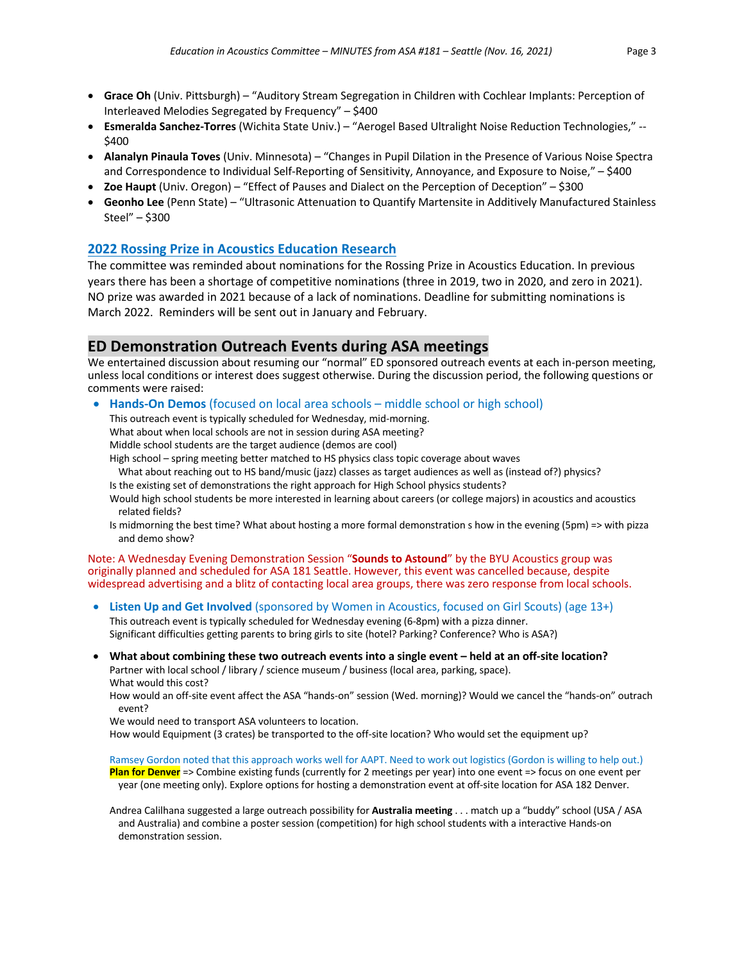- **Grace Oh** (Univ. Pittsburgh) "Auditory Stream Segregation in Children with Cochlear Implants: Perception of Interleaved Melodies Segregated by Frequency" – \$400
- **Esmeralda Sanchez-Torres** (Wichita State Univ.) "Aerogel Based Ultralight Noise Reduction Technologies," -- \$400
- **Alanalyn Pinaula Toves** (Univ. Minnesota) "Changes in Pupil Dilation in the Presence of Various Noise Spectra and Correspondence to Individual Self-Reporting of Sensitivity, Annoyance, and Exposure to Noise," – \$400
- **Zoe Haupt** (Univ. Oregon) "Effect of Pauses and Dialect on the Perception of Deception" \$300
- **Geonho Lee** (Penn State) "Ultrasonic Attenuation to Quantify Martensite in Additively Manufactured Stainless Steel" – \$300

## **2022 Rossing Prize in Acoustics Education Research**

The committee was reminded about nominations for the Rossing Prize in Acoustics Education. In previous years there has been a shortage of competitive nominations (three in 2019, two in 2020, and zero in 2021). NO prize was awarded in 2021 because of a lack of nominations. Deadline for submitting nominations is March 2022. Reminders will be sent out in January and February.

## **ED Demonstration Outreach Events during ASA meetings**

We entertained discussion about resuming our "normal" ED sponsored outreach events at each in-person meeting, unless local conditions or interest does suggest otherwise. During the discussion period, the following questions or comments were raised:

• **Hands-On Demos** (focused on local area schools – middle school or high school)

This outreach event is typically scheduled for Wednesday, mid-morning.

What about when local schools are not in session during ASA meeting?

Middle school students are the target audience (demos are cool)

- High school spring meeting better matched to HS physics class topic coverage about waves
- What about reaching out to HS band/music (jazz) classes as target audiences as well as (instead of?) physics?
- Is the existing set of demonstrations the right approach for High School physics students?
- Would high school students be more interested in learning about careers (or college majors) in acoustics and acoustics related fields?
- Is midmorning the best time? What about hosting a more formal demonstration s how in the evening (5pm) => with pizza and demo show?

Note: A Wednesday Evening Demonstration Session "**Sounds to Astound**" by the BYU Acoustics group was originally planned and scheduled for ASA 181 Seattle. However, this event was cancelled because, despite widespread advertising and a blitz of contacting local area groups, there was zero response from local schools.

• **Listen Up and Get Involved** (sponsored by Women in Acoustics, focused on Girl Scouts) (age 13+)

This outreach event is typically scheduled for Wednesday evening (6-8pm) with a pizza dinner. Significant difficulties getting parents to bring girls to site (hotel? Parking? Conference? Who is ASA?)

• **What about combining these two outreach events into a single event – held at an off-site location?** Partner with local school / library / science museum / business (local area, parking, space). What would this cost?

How would an off-site event affect the ASA "hands-on" session (Wed. morning)? Would we cancel the "hands-on" outrach event?

We would need to transport ASA volunteers to location.

How would Equipment (3 crates) be transported to the off-site location? Who would set the equipment up?

Ramsey Gordon noted that this approach works well for AAPT. Need to work out logistics (Gordon is willing to help out.) **Plan for Denver** => Combine existing funds (currently for 2 meetings per year) into one event => focus on one event per year (one meeting only). Explore options for hosting a demonstration event at off-site location for ASA 182 Denver.

Andrea Calilhana suggested a large outreach possibility for **Australia meeting** . . . match up a "buddy" school (USA / ASA and Australia) and combine a poster session (competition) for high school students with a interactive Hands-on demonstration session.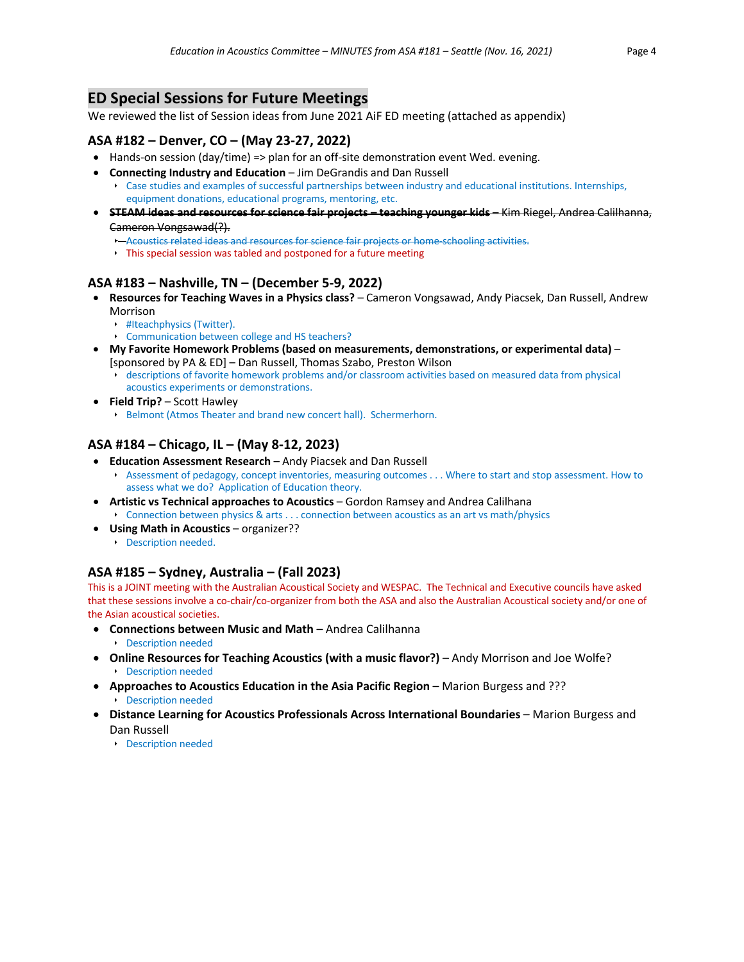## **ED Special Sessions for Future Meetings**

We reviewed the list of Session ideas from June 2021 AiF ED meeting (attached as appendix)

## **ASA #182 – Denver, CO – (May 23-27, 2022)**

- Hands-on session (day/time) => plan for an off-site demonstration event Wed. evening.
- **Connecting Industry and Education** Jim DeGrandis and Dan Russell
	- ê Case studies and examples of successful partnerships between industry and educational institutions. Internships, equipment donations, educational programs, mentoring, etc.
- **STEAM ideas and resources for science fair projects – teaching younger kids** Kim Riegel, Andrea Calilhanna, Cameron Vongsawad(?).
	- **Acoustics related ideas and resources for science fair projects or home schooling activities.**
	- $\rightarrow$  This special session was tabled and postponed for a future meeting

## **ASA #183 – Nashville, TN – (December 5-9, 2022)**

- **Resources for Teaching Waves in a Physics class?**  Cameron Vongsawad, Andy Piacsek, Dan Russell, Andrew Morrison
	- **E.** #Iteachphysics (Twitter).
	- **EXECOMMUNICATION between college and HS teachers?**
- **My Favorite Homework Problems (based on measurements, demonstrations, or experimental data)** [sponsored by PA & ED] – Dan Russell, Thomas Szabo, Preston Wilson
	- ê descriptions of favorite homework problems and/or classroom activities based on measured data from physical acoustics experiments or demonstrations.
- **Field Trip?** Scott Hawley
	- **E** Belmont (Atmos Theater and brand new concert hall). Schermerhorn.

## **ASA #184 – Chicago, IL – (May 8-12, 2023)**

- **Education Assessment Research**  Andy Piacsek and Dan Russell ê Assessment of pedagogy, concept inventories, measuring outcomes . . . Where to start and stop assessment. How to assess what we do? Application of Education theory.
- **Artistic vs Technical approaches to Acoustics**  Gordon Ramsey and Andrea Calilhana ê Connection between physics & arts . . . connection between acoustics as an art vs math/physics
- **Using Math in Acoustics** organizer??
	- **E** Description needed.

## **ASA #185 – Sydney, Australia – (Fall 2023)**

This is a JOINT meeting with the Australian Acoustical Society and WESPAC. The Technical and Executive councils have asked that these sessions involve a co-chair/co-organizer from both the ASA and also the Australian Acoustical society and/or one of the Asian acoustical societies.

- **Connections between Music and Math**  Andrea Calilhanna
	- **E** Description needed
- **Online Resources for Teaching Acoustics (with a music flavor?)** Andy Morrison and Joe Wolfe? **E** Description needed
- **Approaches to Acoustics Education in the Asia Pacific Region Marion Burgess and ??? E** Description needed
- **Distance Learning for Acoustics Professionals Across International Boundaries Marion Burgess and** Dan Russell
	- **E** Description needed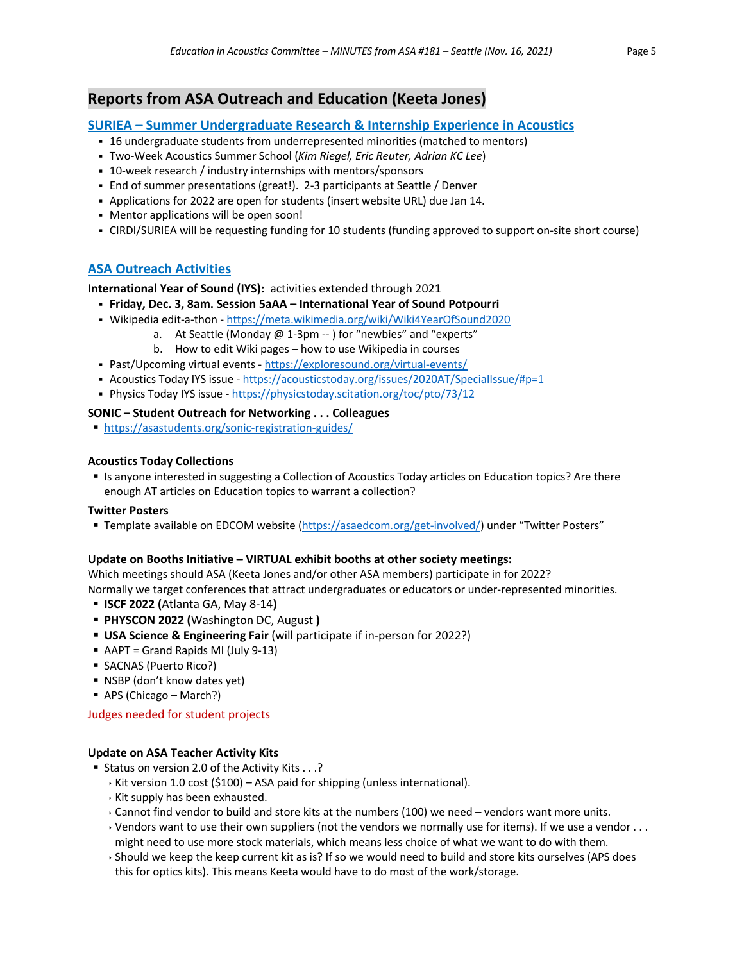## **Reports from ASA Outreach and Education (Keeta Jones)**

## **SURIEA – Summer Undergraduate Research & Internship Experience in Acoustics**

- § 16 undergraduate students from underrepresented minorities (matched to mentors)
- § Two-Week Acoustics Summer School (*Kim Riegel, Eric Reuter, Adrian KC Lee*)
- § 10-week research / industry internships with mentors/sponsors
- End of summer presentations (great!). 2-3 participants at Seattle / Denver
- § Applications for 2022 are open for students (insert website URL) due Jan 14.
- Mentor applications will be open soon!
- § CIRDI/SURIEA will be requesting funding for 10 students (funding approved to support on-site short course)

## **ASA Outreach Activities**

**International Year of Sound (IYS):** activities extended through 2021

- § **Friday, Dec. 3, 8am. Session 5aAA – International Year of Sound Potpourri**
- Wikipedia edit-a-thon https://meta.wikimedia.org/wiki/Wiki4YearOfSound2020
	- a. At Seattle (Monday @ 1-3pm -- ) for "newbies" and "experts"
	- b. How to edit Wiki pages how to use Wikipedia in courses
- § Past/Upcoming virtual events https://exploresound.org/virtual-events/
- Acoustics Today IYS issue https://acousticstoday.org/issues/2020AT/SpecialIssue/#p=1
- Physics Today IYS issue https://physicstoday.scitation.org/toc/pto/73/12

### **SONIC – Student Outreach for Networking . . . Colleagues**

§ https://asastudents.org/sonic-registration-guides/

### **Acoustics Today Collections**

§ Is anyone interested in suggesting a Collection of Acoustics Today articles on Education topics? Are there enough AT articles on Education topics to warrant a collection?

#### **Twitter Posters**

§ Template available on EDCOM website (https://asaedcom.org/get-involved/) under "Twitter Posters"

## **Update on Booths Initiative – VIRTUAL exhibit booths at other society meetings:**

Which meetings should ASA (Keeta Jones and/or other ASA members) participate in for 2022? Normally we target conferences that attract undergraduates or educators or under-represented minorities.

- § **ISCF 2022 (**Atlanta GA, May 8-14**)**
- § **PHYSCON 2022 (**Washington DC, August **)**
- § **USA Science & Engineering Fair** (will participate if in-person for 2022?)
- AAPT = Grand Rapids MI (July 9-13)
- SACNAS (Puerto Rico?)
- NSBP (don't know dates yet)
- APS (Chicago March?)

Judges needed for student projects

## **Update on ASA Teacher Activity Kits**

- Status on version 2.0 of the Activity Kits . . .?
	- Kit version 1.0 cost (\$100) ASA paid for shipping (unless international).
	- $\cdot$  Kit supply has been exhausted.
	- $\cdot$  Cannot find vendor to build and store kits at the numbers (100) we need vendors want more units.
	- $\cdot$  Vendors want to use their own suppliers (not the vendors we normally use for items). If we use a vendor  $\dots$
	- might need to use more stock materials, which means less choice of what we want to do with them.
	- ê Should we keep the keep current kit as is? If so we would need to build and store kits ourselves (APS does this for optics kits). This means Keeta would have to do most of the work/storage.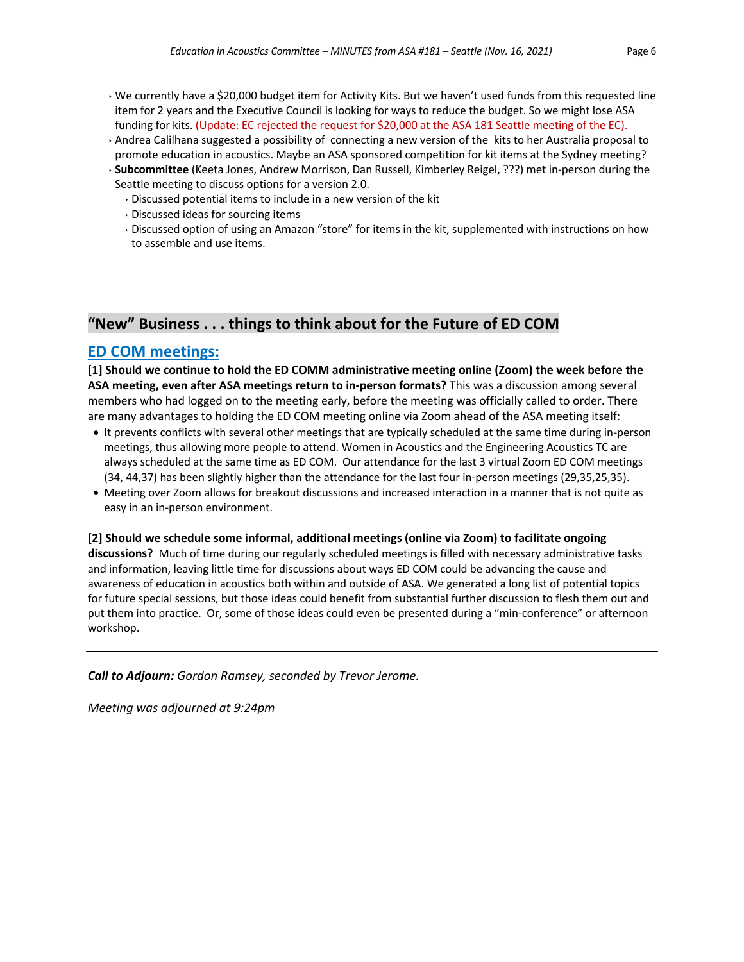- $\cdot$  We currently have a \$20,000 budget item for Activity Kits. But we haven't used funds from this requested line item for 2 years and the Executive Council is looking for ways to reduce the budget. So we might lose ASA funding for kits. (Update: EC rejected the request for \$20,000 at the ASA 181 Seattle meeting of the EC).
- ê Andrea Calilhana suggested a possibility of connecting a new version of the kits to her Australia proposal to promote education in acoustics. Maybe an ASA sponsored competition for kit items at the Sydney meeting?
- ê **Subcommittee** (Keeta Jones, Andrew Morrison, Dan Russell, Kimberley Reigel, ???) met in-person during the Seattle meeting to discuss options for a version 2.0.
	- $\cdot$  Discussed potential items to include in a new version of the kit
	- $\cdot$  Discussed ideas for sourcing items
	- ê Discussed option of using an Amazon "store" for items in the kit, supplemented with instructions on how to assemble and use items.

## **"New" Business . . . things to think about for the Future of ED COM**

## **ED COM meetings:**

**[1] Should we continue to hold the ED COMM administrative meeting online (Zoom) the week before the ASA meeting, even after ASA meetings return to in-person formats?** This was a discussion among several members who had logged on to the meeting early, before the meeting was officially called to order. There are many advantages to holding the ED COM meeting online via Zoom ahead of the ASA meeting itself:

- It prevents conflicts with several other meetings that are typically scheduled at the same time during in-person meetings, thus allowing more people to attend. Women in Acoustics and the Engineering Acoustics TC are always scheduled at the same time as ED COM. Our attendance for the last 3 virtual Zoom ED COM meetings (34, 44,37) has been slightly higher than the attendance for the last four in-person meetings (29,35,25,35).
- Meeting over Zoom allows for breakout discussions and increased interaction in a manner that is not quite as easy in an in-person environment.

#### **[2] Should we schedule some informal, additional meetings (online via Zoom) to facilitate ongoing**

**discussions?** Much of time during our regularly scheduled meetings is filled with necessary administrative tasks and information, leaving little time for discussions about ways ED COM could be advancing the cause and awareness of education in acoustics both within and outside of ASA. We generated a long list of potential topics for future special sessions, but those ideas could benefit from substantial further discussion to flesh them out and put them into practice. Or, some of those ideas could even be presented during a "min-conference" or afternoon workshop.

*Call to Adjourn: Gordon Ramsey, seconded by Trevor Jerome.*

*Meeting was adjourned at 9:24pm*